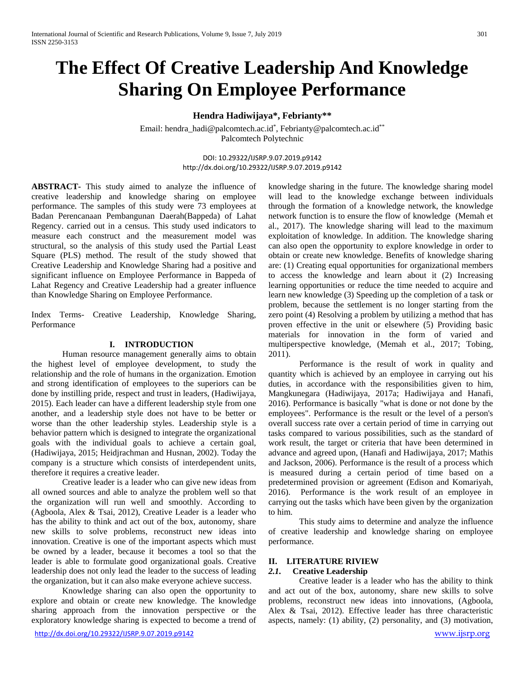# **The Effect Of Creative Leadership And Knowledge Sharing On Employee Performance**

**Hendra Hadiwijaya\*, Febrianty\*\***

Email: hendra\_hadi@palcomtech.ac.id\*, Febrianty@palcomtech.ac.id\*\* Palcomtech Polytechnic

> DOI: 10.29322/IJSRP.9.07.2019.p9142 http://dx.doi.org/10.29322/IJSRP.9.07.2019.p9142

**ABSTRACT-** This study aimed to analyze the influence of creative leadership and knowledge sharing on employee performance. The samples of this study were 73 employees at Badan Perencanaan Pembangunan Daerah(Bappeda) of Lahat Regency. carried out in a census. This study used indicators to measure each construct and the measurement model was structural, so the analysis of this study used the Partial Least Square (PLS) method. The result of the study showed that Creative Leadership and Knowledge Sharing had a positive and significant influence on Employee Performance in Bappeda of Lahat Regency and Creative Leadership had a greater influence than Knowledge Sharing on Employee Performance.

Index Terms- Creative Leadership, Knowledge Sharing, Performance

#### **I. INTRODUCTION**

Human resource management generally aims to obtain the highest level of employee development, to study the relationship and the role of humans in the organization. Emotion and strong identification of employees to the superiors can be done by instilling pride, respect and trust in leaders, (Hadiwijaya, 2015). Each leader can have a different leadership style from one another, and a leadership style does not have to be better or worse than the other leadership styles. Leadership style is a behavior pattern which is designed to integrate the organizational goals with the individual goals to achieve a certain goal, (Hadiwijaya, 2015; Heidjrachman and Husnan, 2002). Today the company is a structure which consists of interdependent units, therefore it requires a creative leader.

Creative leader is a leader who can give new ideas from all owned sources and able to analyze the problem well so that the organization will run well and smoothly. According to (Agboola, Alex & Tsai, 2012), Creative Leader is a leader who has the ability to think and act out of the box, autonomy, share new skills to solve problems, reconstruct new ideas into innovation. Creative is one of the important aspects which must be owned by a leader, because it becomes a tool so that the leader is able to formulate good organizational goals. Creative leadership does not only lead the leader to the success of leading the organization, but it can also make everyone achieve success.

Knowledge sharing can also open the opportunity to explore and obtain or create new knowledge. The knowledge sharing approach from the innovation perspective or the exploratory knowledge sharing is expected to become a trend of knowledge sharing in the future. The knowledge sharing model will lead to the knowledge exchange between individuals through the formation of a knowledge network, the knowledge network function is to ensure the flow of knowledge (Memah et al., 2017). The knowledge sharing will lead to the maximum exploitation of knowledge. In addition. The knowledge sharing can also open the opportunity to explore knowledge in order to obtain or create new knowledge. Benefits of knowledge sharing are: (1) Creating equal opportunities for organizational members to access the knowledge and learn about it (2) Increasing learning opportunities or reduce the time needed to acquire and learn new knowledge (3) Speeding up the completion of a task or problem, because the settlement is no longer starting from the zero point (4) Resolving a problem by utilizing a method that has proven effective in the unit or elsewhere (5) Providing basic materials for innovation in the form of varied and multiperspective knowledge, (Memah et al., 2017; Tobing, 2011).

Performance is the result of work in quality and quantity which is achieved by an employee in carrying out his duties, in accordance with the responsibilities given to him, Mangkunegara (Hadiwijaya, 2017a; Hadiwijaya and Hanafi, 2016). Performance is basically "what is done or not done by the employees". Performance is the result or the level of a person's overall success rate over a certain period of time in carrying out tasks compared to various possibilities, such as the standard of work result, the target or criteria that have been determined in advance and agreed upon, (Hanafi and Hadiwijaya, 2017; Mathis and Jackson, 2006). Performance is the result of a process which is measured during a certain period of time based on a predetermined provision or agreement (Edison and Komariyah, 2016). Performance is the work result of an employee in carrying out the tasks which have been given by the organization to him.

This study aims to determine and analyze the influence of creative leadership and knowledge sharing on employee performance.

#### **II. LITERATURE RIVIEW**

#### *2.1.* **Creative Leadership**

Creative leader is a leader who has the ability to think and act out of the box, autonomy, share new skills to solve problems, reconstruct new ideas into innovations, (Agboola, Alex & Tsai, 2012). Effective leader has three characteristic aspects, namely: (1) ability, (2) personality, and (3) motivation,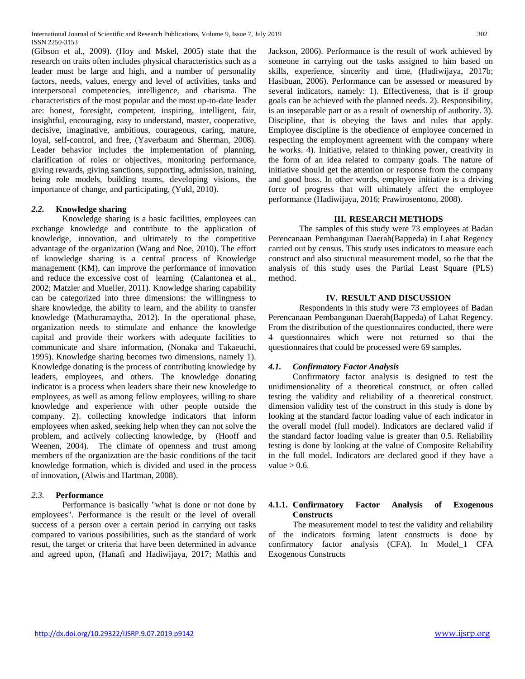International Journal of Scientific and Research Publications, Volume 9, Issue 7, July 2019 302 ISSN 2250-3153

(Gibson et al., 2009). (Hoy and Mskel, 2005) state that the research on traits often includes physical characteristics such as a leader must be large and high, and a number of personality factors, needs, values, energy and level of activities, tasks and interpersonal competencies, intelligence, and charisma. The characteristics of the most popular and the most up-to-date leader are: honest, foresight, competent, inspiring, intelligent, fair, insightful, encouraging, easy to understand, master, cooperative, decisive, imaginative, ambitious, courageous, caring, mature, loyal, self-control, and free, (Yaverbaum and Sherman, 2008). Leader behavior includes the implementation of planning, clarification of roles or objectives, monitoring performance, giving rewards, giving sanctions, supporting, admission, training, being role models, building teams, developing visions, the importance of change, and participating, (Yukl, 2010).

#### *2.2.* **Knowledge sharing**

Knowledge sharing is a basic facilities, employees can exchange knowledge and contribute to the application of knowledge, innovation, and ultimately to the competitive advantage of the organization (Wang and Noe, 2010). The effort of knowledge sharing is a central process of Knowledge management (KM), can improve the performance of innovation and reduce the excessive cost of learning (Calantonea et al., 2002; Matzler and Mueller, 2011). Knowledge sharing capability can be categorized into three dimensions: the willingness to share knowledge, the ability to learn, and the ability to transfer knowledge (Mathuramaytha, 2012). In the operational phase, organization needs to stimulate and enhance the knowledge capital and provide their workers with adequate facilities to communicate and share information, (Nonaka and Takaeuchi, 1995). Knowledge sharing becomes two dimensions, namely 1). Knowledge donating is the process of contributing knowledge by leaders, employees, and others. The knowledge donating indicator is a process when leaders share their new knowledge to employees, as well as among fellow employees, willing to share knowledge and experience with other people outside the company. 2). collecting knowledge indicators that inform employees when asked, seeking help when they can not solve the problem, and actively collecting knowledge, by (Hooff and Weenen, 2004). The climate of openness and trust among members of the organization are the basic conditions of the tacit knowledge formation, which is divided and used in the process of innovation, (Alwis and Hartman, 2008).

## *2.3.* **Performance**

Performance is basically "what is done or not done by employees". Performance is the result or the level of overall success of a person over a certain period in carrying out tasks compared to various possibilities, such as the standard of work resut, the target or criteria that have been determined in advance and agreed upon, (Hanafi and Hadiwijaya, 2017; Mathis and Jackson, 2006). Performance is the result of work achieved by someone in carrying out the tasks assigned to him based on skills, experience, sincerity and time, (Hadiwijaya, 2017b;

Hasibuan, 2006). Performance can be assessed or measured by several indicators, namely: 1). Effectiveness, that is if group goals can be achieved with the planned needs. 2). Responsibility, is an inseparable part or as a result of ownership of authority. 3). Discipline, that is obeying the laws and rules that apply. Employee discipline is the obedience of employee concerned in respecting the employment agreement with the company where he works. 4). Initiative, related to thinking power, creativity in the form of an idea related to company goals. The nature of initiative should get the attention or response from the company and good boss. In other words, employee initiative is a driving force of progress that will ultimately affect the employee performance (Hadiwijaya, 2016; Prawirosentono, 2008).

#### **III. RESEARCH METHODS**

The samples of this study were 73 employees at Badan Perencanaan Pembangunan Daerah(Bappeda) in Lahat Regency carried out by census. This study uses indicators to measure each construct and also structural measurement model, so the that the analysis of this study uses the Partial Least Square (PLS) method.

#### **IV. RESULT AND DISCUSSION**

Respondents in this study were 73 employees of Badan Perencanaan Pembangunan Daerah(Bappeda) of Lahat Regency. From the distribution of the questionnaires conducted, there were 4 questionnaires which were not returned so that the questionnaires that could be processed were 69 samples.

## *4.1. Confirmatory Factor Analysis*

Confirmatory factor analysis is designed to test the unidimensionality of a theoretical construct, or often called testing the validity and reliability of a theoretical construct. dimension validity test of the construct in this study is done by looking at the standard factor loading value of each indicator in the overall model (full model). Indicators are declared valid if the standard factor loading value is greater than 0.5. Reliability testing is done by looking at the value of Composite Reliability in the full model. Indicators are declared good if they have a value  $> 0.6$ .

## **4.1.1. Confirmatory Factor Analysis of Exogenous Constructs**

The measurement model to test the validity and reliability of the indicators forming latent constructs is done by confirmatory factor analysis (CFA). In Model\_1 CFA Exogenous Constructs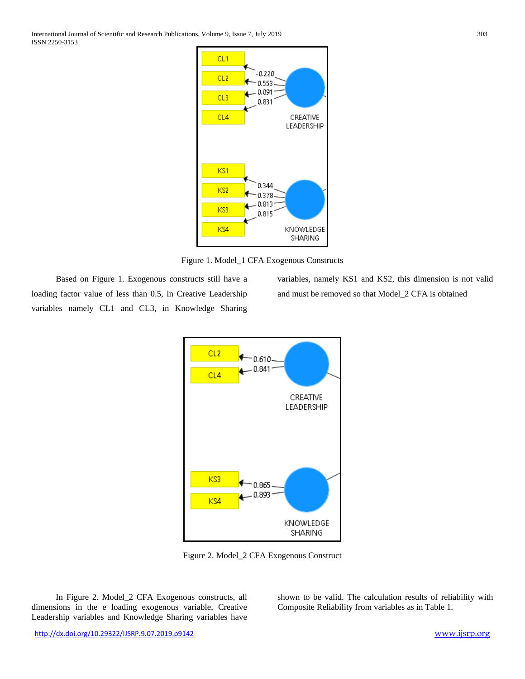International Journal of Scientific and Research Publications, Volume 9, Issue 7, July 2019 303 ISSN 2250-3153



Figure 1. Model\_1 CFA Exogenous Constructs

Based on Figure 1. Exogenous constructs still have a loading factor value of less than 0.5, in Creative Leadership variables namely CL1 and CL3, in Knowledge Sharing variables, namely KS1 and KS2, this dimension is not valid and must be removed so that Model\_2 CFA is obtained



Figure 2. Model\_2 CFA Exogenous Construct

In Figure 2. Model\_2 CFA Exogenous constructs, all dimensions in the e loading exogenous variable, Creative Leadership variables and Knowledge Sharing variables have shown to be valid. The calculation results of reliability with Composite Reliability from variables as in Table 1.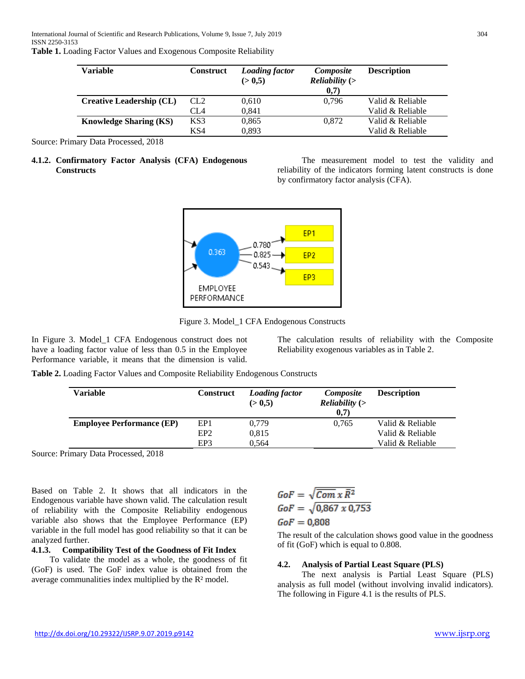|  | Table 1. Loading Factor Values and Exogenous Composite Reliability |  |
|--|--------------------------------------------------------------------|--|
|  |                                                                    |  |

| Variable                      | <b>Construct</b> | <b>Loading factor</b><br>(> 0.5) | Composite<br><i>Reliability</i> $($<br>0,7) | <b>Description</b> |
|-------------------------------|------------------|----------------------------------|---------------------------------------------|--------------------|
| Creative Leadership (CL)      | CL <sub>2</sub>  | 0,610                            | 0.796                                       | Valid & Reliable   |
|                               | CL <sub>4</sub>  | 0,841                            |                                             | Valid & Reliable   |
| <b>Knowledge Sharing (KS)</b> | KS3              | 0,865                            | 0.872                                       | Valid & Reliable   |
|                               | KS4              | 0,893                            |                                             | Valid & Reliable   |

Source: Primary Data Processed, 2018

## **4.1.2. Confirmatory Factor Analysis (CFA) Endogenous Constructs**

The measurement model to test the validity and reliability of the indicators forming latent constructs is done by confirmatory factor analysis (CFA).



Figure 3. Model\_1 CFA Endogenous Constructs

In Figure 3. Model\_1 CFA Endogenous construct does not have a loading factor value of less than 0.5 in the Employee Performance variable, it means that the dimension is valid.

The calculation results of reliability with the Composite Reliability exogenous variables as in Table 2.

**Table 2.** Loading Factor Values and Composite Reliability Endogenous Constructs

| Variable                         | <b>Construct</b> | <b>Loading factor</b><br>(> 0.5) | Composite<br><i>Reliability</i> $($<br>0.7) | <b>Description</b> |
|----------------------------------|------------------|----------------------------------|---------------------------------------------|--------------------|
| <b>Employee Performance (EP)</b> | EP <sub>1</sub>  | 0,779                            | 0.765                                       | Valid & Reliable   |
|                                  | EP <sub>2</sub>  | 0.815                            |                                             | Valid & Reliable   |
|                                  | EP3              | 0.564                            |                                             | Valid & Reliable   |

Source: Primary Data Processed, 2018

Based on Table 2. It shows that all indicators in the Endogenous variable have shown valid. The calculation result of reliability with the Composite Reliability endogenous variable also shows that the Employee Performance (EP) variable in the full model has good reliability so that it can be analyzed further.

## **4.1.3. Compatibility Test of the Goodness of Fit Index**

To validate the model as a whole, the goodness of fit (GoF) is used. The GoF index value is obtained from the average communalities index multiplied by the R² model.

$$
GoF = \sqrt{Com\ x\ \overline{R}^2}
$$

$$
GoF = \sqrt{0,867\ x\ 0,753}
$$

# $GoF = 0,808$

The result of the calculation shows good value in the goodness of fit (GoF) which is equal to 0.808.

# **4.2. Analysis of Partial Least Square (PLS)**

The next analysis is Partial Least Square (PLS) analysis as full model (without involving invalid indicators). The following in Figure 4.1 is the results of PLS.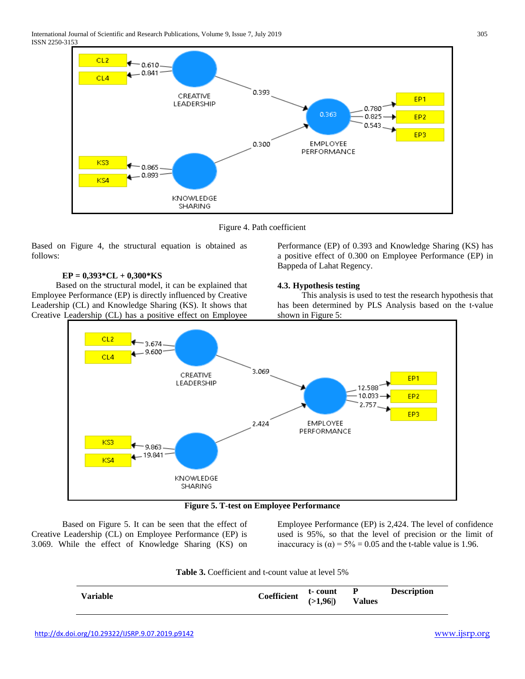

Figure 4. Path coefficient

Based on Figure 4, the structural equation is obtained as follows:

## **EP = 0,393\*CL + 0,300\*KS**

Based on the structural model, it can be explained that Employee Performance (EP) is directly influenced by Creative Leadership (CL) and Knowledge Sharing (KS). It shows that Creative Leadership (CL) has a positive effect on Employee Performance (EP) of 0.393 and Knowledge Sharing (KS) has a positive effect of 0.300 on Employee Performance (EP) in Bappeda of Lahat Regency.

## **4.3. Hypothesis testing**

This analysis is used to test the research hypothesis that has been determined by PLS Analysis based on the t-value shown in Figure 5:



**Figure 5. T-test on Employee Performance**

Based on Figure 5. It can be seen that the effect of Creative Leadership (CL) on Employee Performance (EP) is 3.069. While the effect of Knowledge Sharing (KS) on Employee Performance (EP) is 2,424. The level of confidence used is 95%, so that the level of precision or the limit of inaccuracy is  $(\alpha) = 5\% = 0.05$  and the t-table value is 1.96.

**Table 3.** Coefficient and t-count value at level 5%

| <b>Description</b><br>t-count P<br>Coefficient $(>1,96)$<br><b>Variable</b><br><b>Values</b> |
|----------------------------------------------------------------------------------------------|
|----------------------------------------------------------------------------------------------|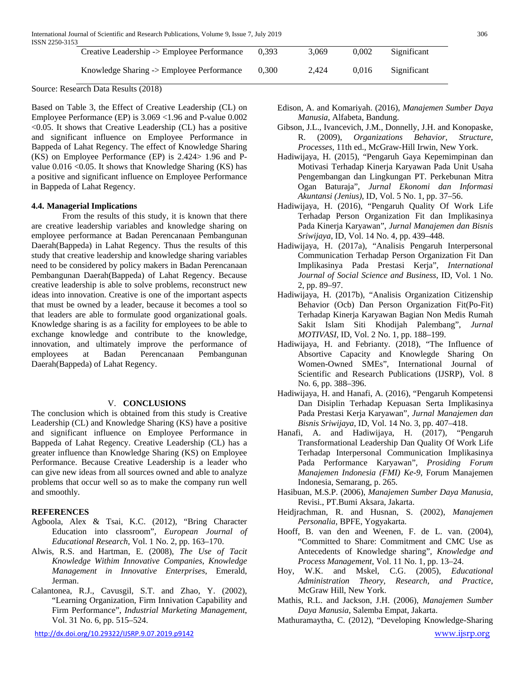| Creative Leadership -> Employee Performance | 0.393 | 3.069 | 0.002 | Significant |
|---------------------------------------------|-------|-------|-------|-------------|
| Knowledge Sharing -> Employee Performance   | 0.300 | 2.424 | 0.016 | Significant |

Source: Research Data Results (2018)

Based on Table 3, the Effect of Creative Leadership (CL) on Employee Performance (EP) is 3.069 <1.96 and P-value 0.002 <0.05. It shows that Creative Leadership (CL) has a positive and significant influence on Employee Performance in Bappeda of Lahat Regency. The effect of Knowledge Sharing (KS) on Employee Performance (EP) is 2.424> 1.96 and Pvalue 0.016 <0.05. It shows that Knowledge Sharing (KS) has a positive and significant influence on Employee Performance in Bappeda of Lahat Regency.

#### **4.4. Managerial Implications**

From the results of this study, it is known that there are creative leadership variables and knowledge sharing on employee performance at Badan Perencanaan Pembangunan Daerah(Bappeda) in Lahat Regency. Thus the results of this study that creative leadership and knowledge sharing variables need to be considered by policy makers in Badan Perencanaan Pembangunan Daerah(Bappeda) of Lahat Regency. Because creative leadership is able to solve problems, reconstruct new ideas into innovation. Creative is one of the important aspects that must be owned by a leader, because it becomes a tool so that leaders are able to formulate good organizational goals. Knowledge sharing is as a facility for employees to be able to exchange knowledge and contribute to the knowledge, innovation, and ultimately improve the performance of employees at Badan Perencanaan Pembangunan Daerah(Bappeda) of Lahat Regency.

## V. **CONCLUSIONS**

The conclusion which is obtained from this study is Creative Leadership (CL) and Knowledge Sharing (KS) have a positive and significant influence on Employee Performance in Bappeda of Lahat Regency. Creative Leadership (CL) has a greater influence than Knowledge Sharing (KS) on Employee Performance. Because Creative Leadership is a leader who can give new ideas from all sources owned and able to analyze problems that occur well so as to make the company run well and smoothly.

## **REFERENCES**

- Agboola, Alex & Tsai, K.C. (2012), "Bring Character Education into classroom", *European Journal of Educational Research*, Vol. 1 No. 2, pp. 163–170.
- Alwis, R.S. and Hartman, E. (2008), *The Use of Tacit Knowledge Withim Innovative Companies*, *Knowledge Management in Innovative Enterprises*, Emerald, Jerman.
- Calantonea, R.J., Cavusgil, S.T. and Zhao, Y. (2002), "Learning Organization, Firm Innivation Capability and Firm Performance", *Industrial Marketing Management*, Vol. 31 No. 6, pp. 515–524.
- Edison, A. and Komariyah. (2016), *Manajemen Sumber Daya Manusia*, Alfabeta, Bandung.
- Gibson, J.L., Ivancevich, J.M., Donnelly, J.H. and Konopaske, R. (2009), *Organizations Behavior, Structure, Processes*, 11th ed., McGraw-Hill Irwin, New York.
- Hadiwijaya, H. (2015), "Pengaruh Gaya Kepemimpinan dan Motivasi Terhadap Kinerja Karyawan Pada Unit Usaha Pengembangan dan Lingkungan PT. Perkebunan Mitra Ogan Baturaja", *Jurnal Ekonomi dan Informasi Akuntansi (Jenius)*, ID, Vol. 5 No. 1, pp. 37–56.
- Hadiwijaya, H. (2016), "Pengaruh Quality Of Work Life Terhadap Person Organization Fit dan Implikasinya Pada Kinerja Karyawan", *Jurnal Manajemen dan Bisnis Sriwijaya*, ID, Vol. 14 No. 4, pp. 439–448.
- Hadiwijaya, H. (2017a), "Analisis Pengaruh Interpersonal Communication Terhadap Person Organization Fit Dan Implikasinya Pada Prestasi Kerja", *International Journal of Social Science and Business*, ID, Vol. 1 No. 2, pp. 89–97.
- Hadiwijaya, H. (2017b), "Analisis Organization Citizenship Behavior (Ocb) Dan Person Organization Fit(Po-Fit) Terhadap Kinerja Karyawan Bagian Non Medis Rumah Sakit Islam Siti Khodijah Palembang", *Jurnal MOTIVASI*, ID, Vol. 2 No. 1, pp. 188–199.
- Hadiwijaya, H. and Febrianty. (2018), "The Influence of Absortive Capacity and Knowlegde Sharing On Women-Owned SMEs", International Journal of Scientific and Research Publications (IJSRP), Vol. 8 No. 6, pp. 388–396.
- Hadiwijaya, H. and Hanafi, A. (2016), "Pengaruh Kompetensi Dan Disiplin Terhadap Kepuasan Serta Implikasinya Pada Prestasi Kerja Karyawan", *Jurnal Manajemen dan Bisnis Sriwijaya*, ID, Vol. 14 No. 3, pp. 407–418.
- Hanafi, A. and Hadiwijaya, H. (2017), "Pengaruh Transformational Leadership Dan Quality Of Work Life Terhadap Interpersonal Communication Implikasinya Pada Performance Karyawan", *Prosiding Forum Manajemen Indonesia (FMI) Ke-9*, Forum Manajemen Indonesia, Semarang, p. 265.
- Hasibuan, M.S.P. (2006), *Manajemen Sumber Daya Manusia*, Revisi., PT.Bumi Aksara, Jakarta.
- Heidjrachman, R. and Husnan, S. (2002), *Manajemen Personalia*, BPFE, Yogyakarta.
- Hooff, B. van den and Weenen, F. de L. van. (2004), "Committed to Share: Commitment and CMC Use as Antecedents of Knowledge sharing", *Knowledge and Process Management*, Vol. 11 No. 1, pp. 13–24.
- Hoy, W.K. and Mskel, C.G. (2005), *Educational Administration Theory, Research, and Practice*, McGraw Hill, New York.
- Mathis, R.L. and Jackson, J.H. (2006), *Manajemen Sumber Daya Manusia*, Salemba Empat, Jakarta.
- Mathuramaytha, C. (2012), "Developing Knowledge-Sharing